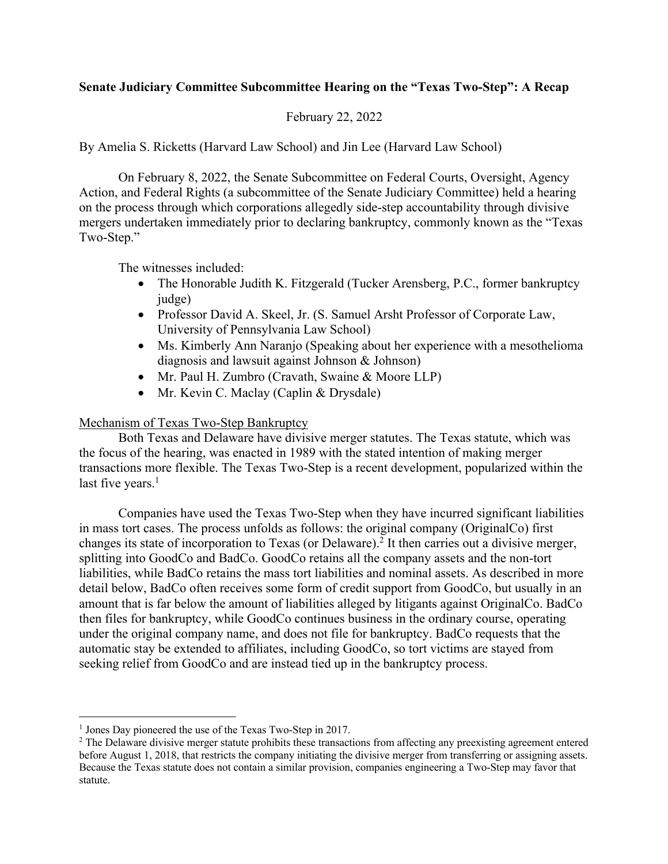# **Senate Judiciary Committee Subcommittee Hearing on the "Texas Two-Step": A Recap**

## February 22, 2022

By Amelia S. Ricketts (Harvard Law School) and Jin Lee (Harvard Law School)

On February 8, 2022, the Senate Subcommittee on Federal Courts, Oversight, Agency Action, and Federal Rights (a subcommittee of the Senate Judiciary Committee) held a hearing on the process through which corporations allegedly side-step accountability through divisive mergers undertaken immediately prior to declaring bankruptcy, commonly known as the "Texas Two-Step."

The witnesses included:

- The Honorable Judith K. Fitzgerald (Tucker Arensberg, P.C., former bankruptcy judge)
- Professor David A. Skeel, Jr. (S. Samuel Arsht Professor of Corporate Law, University of Pennsylvania Law School)
- Ms. Kimberly Ann Naranjo (Speaking about her experience with a mesothelioma diagnosis and lawsuit against Johnson & Johnson)
- Mr. Paul H. Zumbro (Cravath, Swaine & Moore LLP)
- Mr. Kevin C. Maclay (Caplin & Drysdale)

### Mechanism of Texas Two-Step Bankruptcy

Both Texas and Delaware have divisive merger statutes. The Texas statute, which was the focus of the hearing, was enacted in 1989 with the stated intention of making merger transactions more flexible. The Texas Two-Step is a recent development, popularized within the last five years. $<sup>1</sup>$ </sup>

Companies have used the Texas Two-Step when they have incurred significant liabilities in mass tort cases. The process unfolds as follows: the original company (OriginalCo) first changes its state of incorporation to Texas (or Delaware).2 It then carries out a divisive merger, splitting into GoodCo and BadCo. GoodCo retains all the company assets and the non-tort liabilities, while BadCo retains the mass tort liabilities and nominal assets. As described in more detail below, BadCo often receives some form of credit support from GoodCo, but usually in an amount that is far below the amount of liabilities alleged by litigants against OriginalCo. BadCo then files for bankruptcy, while GoodCo continues business in the ordinary course, operating under the original company name, and does not file for bankruptcy. BadCo requests that the automatic stay be extended to affiliates, including GoodCo, so tort victims are stayed from seeking relief from GoodCo and are instead tied up in the bankruptcy process.

<sup>&</sup>lt;sup>1</sup> Jones Day pioneered the use of the Texas Two-Step in 2017.

<sup>&</sup>lt;sup>2</sup> The Delaware divisive merger statute prohibits these transactions from affecting any preexisting agreement entered before August 1, 2018, that restricts the company initiating the divisive merger from transferring or assigning assets. Because the Texas statute does not contain a similar provision, companies engineering a Two-Step may favor that statute.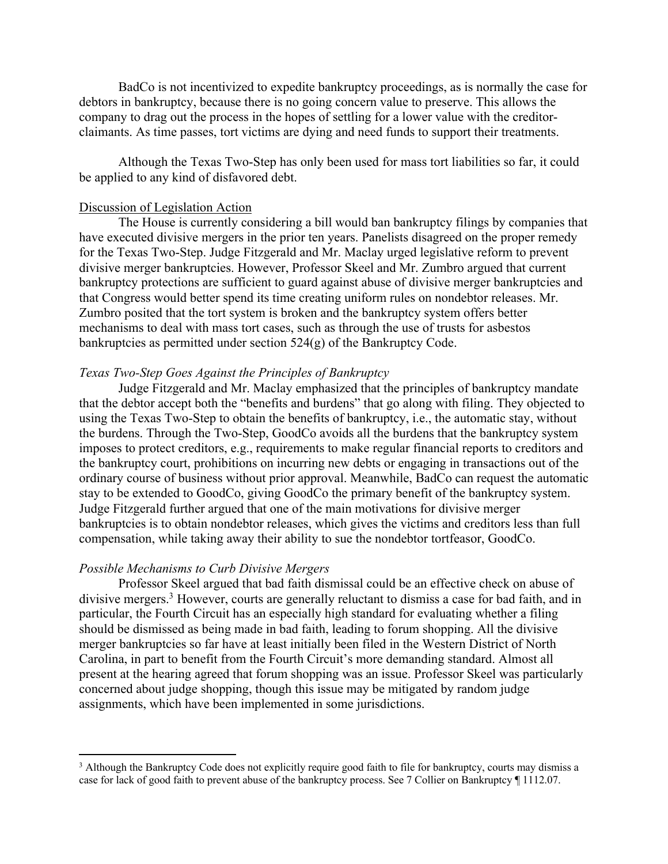BadCo is not incentivized to expedite bankruptcy proceedings, as is normally the case for debtors in bankruptcy, because there is no going concern value to preserve. This allows the company to drag out the process in the hopes of settling for a lower value with the creditorclaimants. As time passes, tort victims are dying and need funds to support their treatments.

Although the Texas Two-Step has only been used for mass tort liabilities so far, it could be applied to any kind of disfavored debt.

#### Discussion of Legislation Action

The House is currently considering a bill would ban bankruptcy filings by companies that have executed divisive mergers in the prior ten years. Panelists disagreed on the proper remedy for the Texas Two-Step. Judge Fitzgerald and Mr. Maclay urged legislative reform to prevent divisive merger bankruptcies. However, Professor Skeel and Mr. Zumbro argued that current bankruptcy protections are sufficient to guard against abuse of divisive merger bankruptcies and that Congress would better spend its time creating uniform rules on nondebtor releases. Mr. Zumbro posited that the tort system is broken and the bankruptcy system offers better mechanisms to deal with mass tort cases, such as through the use of trusts for asbestos bankruptcies as permitted under section  $524(g)$  of the Bankruptcy Code.

### *Texas Two-Step Goes Against the Principles of Bankruptcy*

Judge Fitzgerald and Mr. Maclay emphasized that the principles of bankruptcy mandate that the debtor accept both the "benefits and burdens" that go along with filing. They objected to using the Texas Two-Step to obtain the benefits of bankruptcy, i.e., the automatic stay, without the burdens. Through the Two-Step, GoodCo avoids all the burdens that the bankruptcy system imposes to protect creditors, e.g., requirements to make regular financial reports to creditors and the bankruptcy court, prohibitions on incurring new debts or engaging in transactions out of the ordinary course of business without prior approval. Meanwhile, BadCo can request the automatic stay to be extended to GoodCo, giving GoodCo the primary benefit of the bankruptcy system. Judge Fitzgerald further argued that one of the main motivations for divisive merger bankruptcies is to obtain nondebtor releases, which gives the victims and creditors less than full compensation, while taking away their ability to sue the nondebtor tortfeasor, GoodCo.

#### *Possible Mechanisms to Curb Divisive Mergers*

Professor Skeel argued that bad faith dismissal could be an effective check on abuse of divisive mergers.<sup>3</sup> However, courts are generally reluctant to dismiss a case for bad faith, and in particular, the Fourth Circuit has an especially high standard for evaluating whether a filing should be dismissed as being made in bad faith, leading to forum shopping. All the divisive merger bankruptcies so far have at least initially been filed in the Western District of North Carolina, in part to benefit from the Fourth Circuit's more demanding standard. Almost all present at the hearing agreed that forum shopping was an issue. Professor Skeel was particularly concerned about judge shopping, though this issue may be mitigated by random judge assignments, which have been implemented in some jurisdictions.

<sup>&</sup>lt;sup>3</sup> Although the Bankruptcy Code does not explicitly require good faith to file for bankruptcy, courts may dismiss a case for lack of good faith to prevent abuse of the bankruptcy process. See 7 Collier on Bankruptcy ¶ 1112.07.